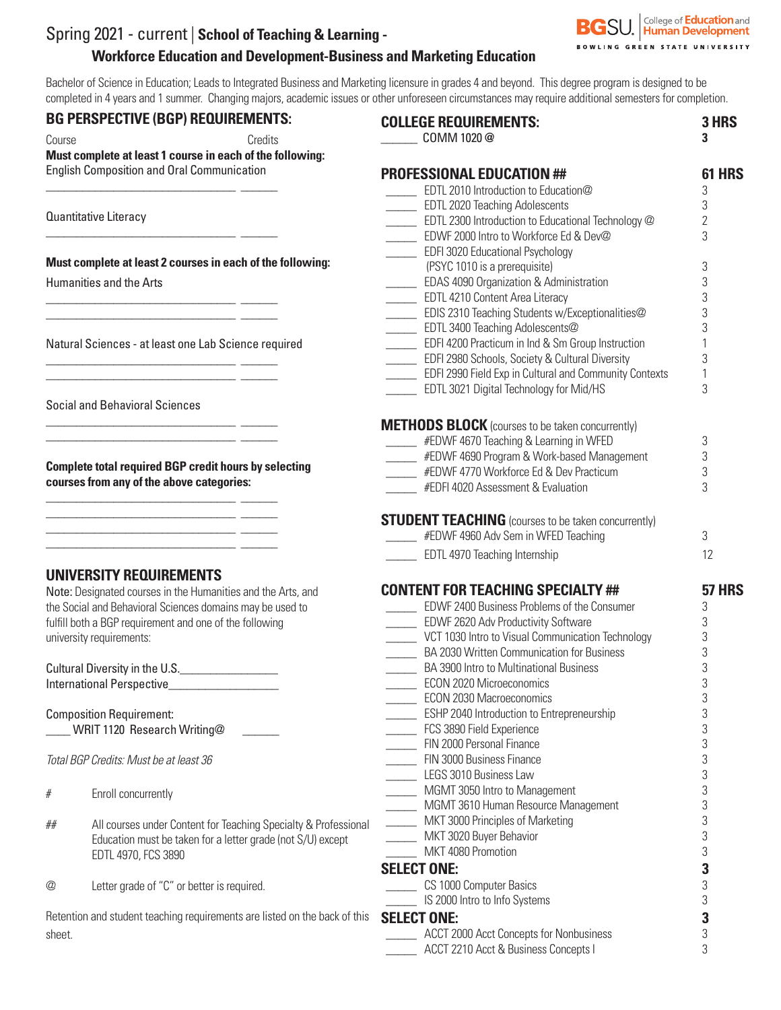# Spring 2021 - current | **School of Teaching & Learning - Workforce Education and Development-Business and Marketing Education**

Bachelor of Science in Education; Leads to Integrated Business and Marketing licensure in grades 4 and beyond. This degree program is designed to be completed in 4 years and 1 summer. Changing majors, academic issues or other unforeseen circumstances may require additional semesters for completion.

#### **BG PERSPECTIVE (BGP) REQUIREMENTS:**

\_\_\_\_\_\_\_\_\_\_\_\_\_\_\_\_\_\_\_\_\_\_\_\_\_\_\_\_\_\_\_ \_\_\_\_\_\_

\_\_\_\_\_\_\_\_\_\_\_\_\_\_\_\_\_\_\_\_\_\_\_\_\_\_\_\_\_\_\_ \_\_\_\_\_\_

\_\_\_\_\_\_\_\_\_\_\_\_\_\_\_\_\_\_\_\_\_\_\_\_\_\_\_\_\_\_\_ \_\_\_\_\_\_ \_\_\_\_\_\_\_\_\_\_\_\_\_\_\_\_\_\_\_\_\_\_\_\_\_\_\_\_\_\_\_ \_\_\_\_\_\_

\_\_\_\_\_\_\_\_\_\_\_\_\_\_\_\_\_\_\_\_\_\_\_\_\_\_\_\_\_\_\_ \_\_\_\_\_\_ \_\_\_\_\_\_\_\_\_\_\_\_\_\_\_\_\_\_\_\_\_\_\_\_\_\_\_\_\_\_\_ \_\_\_\_\_\_

\_\_\_\_\_\_\_\_\_\_\_\_\_\_\_\_\_\_\_\_\_\_\_\_\_\_\_\_\_\_\_ \_\_\_\_\_\_

\_\_\_\_\_\_\_\_\_\_\_\_\_\_\_\_\_\_\_\_\_\_\_\_\_\_\_\_\_\_\_ \_\_\_\_\_\_  $\frac{1}{2}$  ,  $\frac{1}{2}$  ,  $\frac{1}{2}$  ,  $\frac{1}{2}$  ,  $\frac{1}{2}$  ,  $\frac{1}{2}$  ,  $\frac{1}{2}$  ,  $\frac{1}{2}$  ,  $\frac{1}{2}$  ,  $\frac{1}{2}$  ,  $\frac{1}{2}$  ,  $\frac{1}{2}$  ,  $\frac{1}{2}$  ,  $\frac{1}{2}$  ,  $\frac{1}{2}$  ,  $\frac{1}{2}$  ,  $\frac{1}{2}$  ,  $\frac{1}{2}$  ,  $\frac{1$ \_\_\_\_\_\_\_\_\_\_\_\_\_\_\_\_\_\_\_\_\_\_\_\_\_\_\_\_\_\_\_ \_\_\_\_\_\_ \_\_\_\_\_\_\_\_\_\_\_\_\_\_\_\_\_\_\_\_\_\_\_\_\_\_\_\_\_\_\_ \_\_\_\_\_\_

Course Credits **Must complete at least 1 course in each of the following:**  English Composition and Oral Communication

Quantitative Literacy

**Must complete at least 2 courses in each of the following:**

Humanities and the Arts

Natural Sciences - at least one Lab Science required

Social and Behavioral Sciences

**Complete total required BGP credit hours by selecting courses from any of the above categories:**

## **UNIVERSITY REQUIREMENTS**

Note: Designated courses in the Humanities and the Arts, and the Social and Behavioral Sciences domains may be used to fulfill both a BGP requirement and one of the following university requirements:

Cultural Diversity in the U.S. International Perspective\_\_\_\_\_\_\_\_\_\_\_\_\_\_\_\_\_\_

Composition Requirement: \_\_\_\_ WRIT 1120 Research Writing@ \_\_\_\_\_\_

*Total BGP Credits: Must be at least 36*

- # Enroll concurrently
- ## All courses under Content for Teaching Specialty & Professional Education must be taken for a letter grade (not S/U) except EDTL 4970, FCS 3890
- @ Letter grade of "C" or better is required.

Retention and student teaching requirements are listed on the back of this sheet.

| <b>COLLEGE REQUIREMENTS:</b><br>COMM 1020 @                          | 3 HRS<br>3     |
|----------------------------------------------------------------------|----------------|
| <b>PROFESSIONAL EDUCATION ##</b>                                     | 61 HRS         |
| EDTL 2010 Introduction to Education@                                 | 3              |
| EDTL 2020 Teaching Adolescents                                       | 3              |
| EDTL 2300 Introduction to Educational Technology @                   | $\overline{2}$ |
| EDWF 2000 Intro to Workforce Ed & Dev@                               | 3              |
| EDFI 3020 Educational Psychology                                     |                |
| (PSYC 1010 is a prerequisite)                                        | 3              |
| <b>EDAS 4090 Organization &amp; Administration</b>                   | 3              |
| EDTL 4210 Content Area Literacy                                      | 3              |
| EDIS 2310 Teaching Students w/Exceptionalities@                      | 3              |
| EDTL 3400 Teaching Adolescents@                                      | 3              |
| EDFI 4200 Practicum in Ind & Sm Group Instruction                    | 1              |
| <b>EDFI 2980 Schools, Society &amp; Cultural Diversity</b>           | 3              |
| EDFI 2990 Field Exp in Cultural and Community Contexts               | 1<br>3         |
| EDTL 3021 Digital Technology for Mid/HS                              |                |
| <b>METHODS BLOCK</b> (courses to be taken concurrently)              |                |
| EDWF 4670 Teaching & Learning in WFED                                | 3              |
| EDWF 4690 Program & Work-based Management                            | 3              |
| EDWF 4770 Workforce Ed & Dev Practicum                               | 3              |
| #EDFI 4020 Assessment & Evaluation                                   | 3              |
| <b>STUDENT TEACHING</b> (courses to be taken concurrently)           |                |
| #EDWF 4960 Adv Sem in WFED Teaching                                  | 3              |
| <b>EDTL 4970 Teaching Internship</b>                                 | 12             |
| <b>CONTENT FOR TEACHING SPECIALTY ##</b>                             | <b>57 HRS</b>  |
| <b>EDWF 2400 Business Problems of the Consumer</b>                   | 3              |
| EDWF 2620 Adv Productivity Software                                  | 3              |
| VCT 1030 Intro to Visual Communication Technology                    | 3              |
| BA 2030 Written Communication for Business                           | 3              |
| BA 3900 Intro to Multinational Business                              | 3              |
| <b>ECON 2020 Microeconomics</b>                                      | 3              |
| ECON 2030 Macroeconomics                                             | 3              |
| <b>ESHP 2040 Introduction to Entrepreneurship</b>                    | 3              |
| FCS 3890 Field Experience                                            | 3              |
| FIN 2000 Personal Finance                                            | 3              |
| FIN 3000 Business Finance                                            | 3              |
| LEGS 3010 Business Law                                               | 3<br>3         |
| MGMT 3050 Intro to Management<br>MGMT 3610 Human Resource Management | 3              |
| MKT 3000 Principles of Marketing                                     | 3              |
| MKT 3020 Buyer Behavior                                              | 3              |
| MKT 4080 Promotion                                                   | 3              |
| <b>SELECT ONE:</b>                                                   | 3              |
|                                                                      | 3              |
| CS 1000 Computer Basics<br>IS 2000 Intro to Info Systems             | 3              |
|                                                                      | 3              |
| <b>SELECT ONE:</b>                                                   |                |

| <b>ACCT 2000 Acct Concepts for Nonbusiness</b> |  |
|------------------------------------------------|--|
| ACCT 2210 Acct & Business Concepts I           |  |